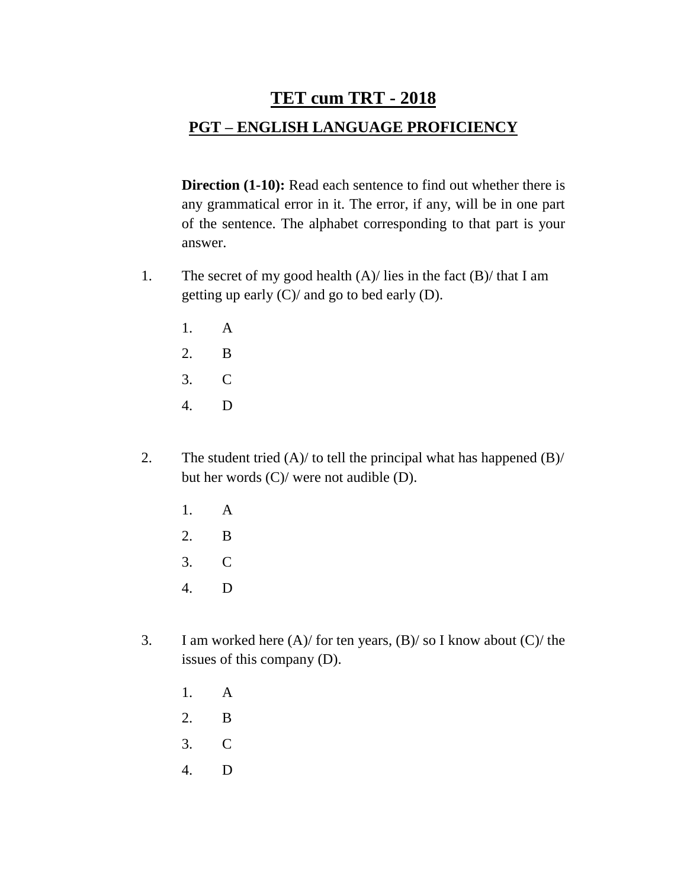# **TET cum TRT - 2018**

## **PGT – ENGLISH LANGUAGE PROFICIENCY**

**Direction (1-10):** Read each sentence to find out whether there is any grammatical error in it. The error, if any, will be in one part of the sentence. The alphabet corresponding to that part is your answer.

- 1. The secret of my good health  $(A)$  lies in the fact  $(B)$  that I am getting up early (C)/ and go to bed early (D).
	- 1. A
	- 2. B
	- 3. C
	- 4. D
- 2. The student tried  $(A)/$  to tell the principal what has happened  $(B)/$ but her words (C)/ were not audible (D).
	- 1. A
	- 2. B
	- 3. C
	- 4. D
- 3. I am worked here (A)/ for ten years, (B)/ so I know about (C)/ the issues of this company (D).
	- 1. A
	- 2. B
	- 3. C
	- 4. D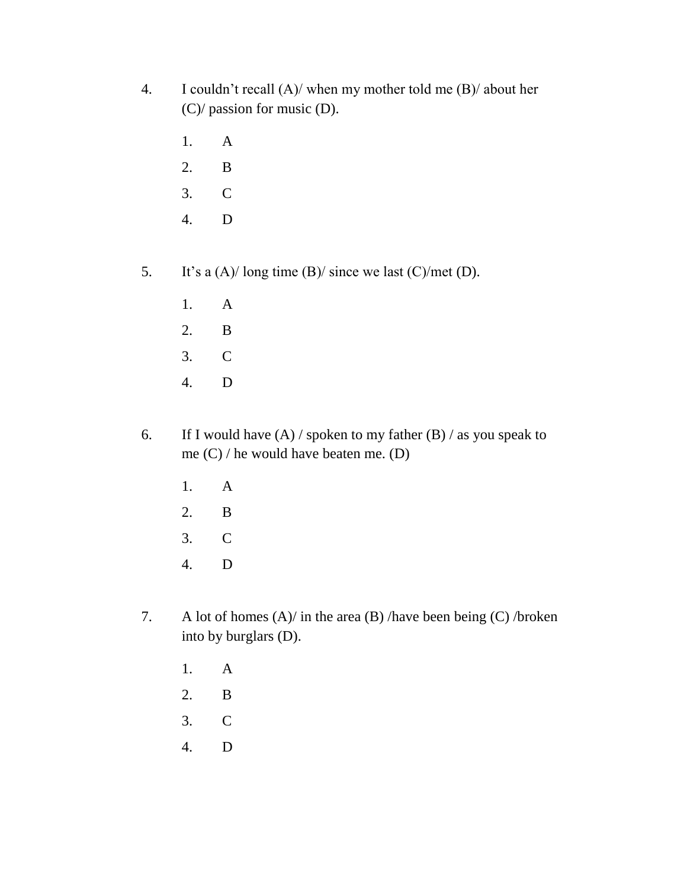- 4. I couldn't recall (A)/ when my mother told me (B)/ about her (C)/ passion for music (D).
	- 1. A
	- 2. B
	- 3. C
	- 4. D
- 5. It's a (A)/ long time (B)/ since we last (C)/met (D).
	- 1. A
	- 2. B
	- 3. C
	- 4. D
- 6. If I would have  $(A)$  / spoken to my father  $(B)$  / as you speak to me (C) / he would have beaten me. (D)
	- 1. A
	- 2. B
	- 3. C
	- 4. D
- 7. A lot of homes  $(A)$  in the area  $(B)$  /have been being  $(C)$  /broken into by burglars (D).
	- 1. A
	- 2. B
	- 3. C
	- 4. D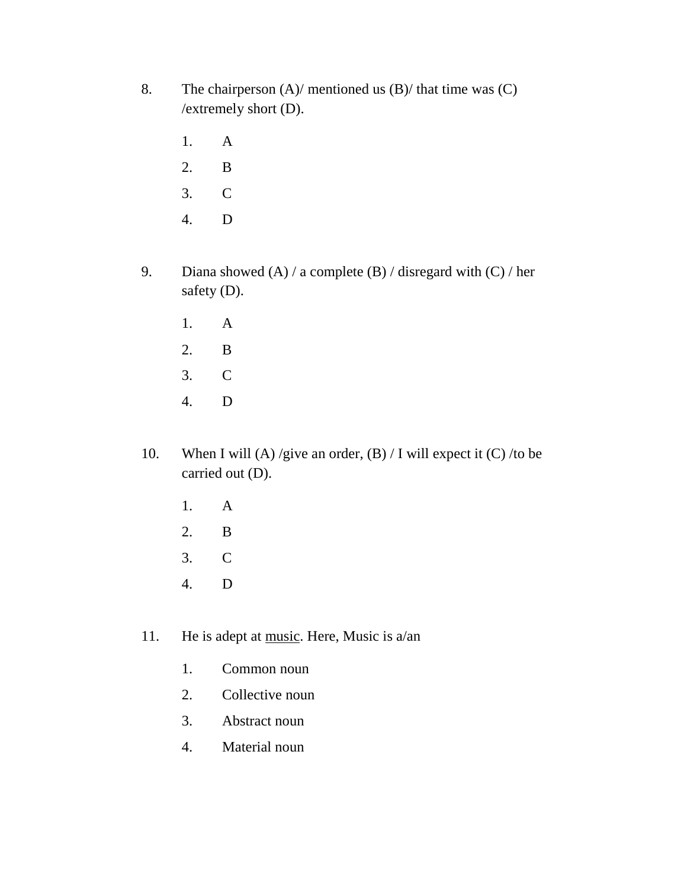- 8. The chairperson (A)/ mentioned us (B)/ that time was (C) /extremely short (D).
	- 1. A
	- 2. B
	- 3. C
	- 4. D
- 9. Diana showed  $(A) / a$  complete  $(B) /$  disregard with  $(C) / her$ safety (D).
	- 1. A
	- 2. B
	- 3. C
	- 4. D
- 10. When I will (A) /give an order, (B) / I will expect it (C) /to be carried out (D).
	- 1. A
	- 2. B
	- 3. C
	- 4. D
- 11. He is adept at music. Here, Music is a/an
	- 1. Common noun
	- 2. Collective noun
	- 3. Abstract noun
	- 4. Material noun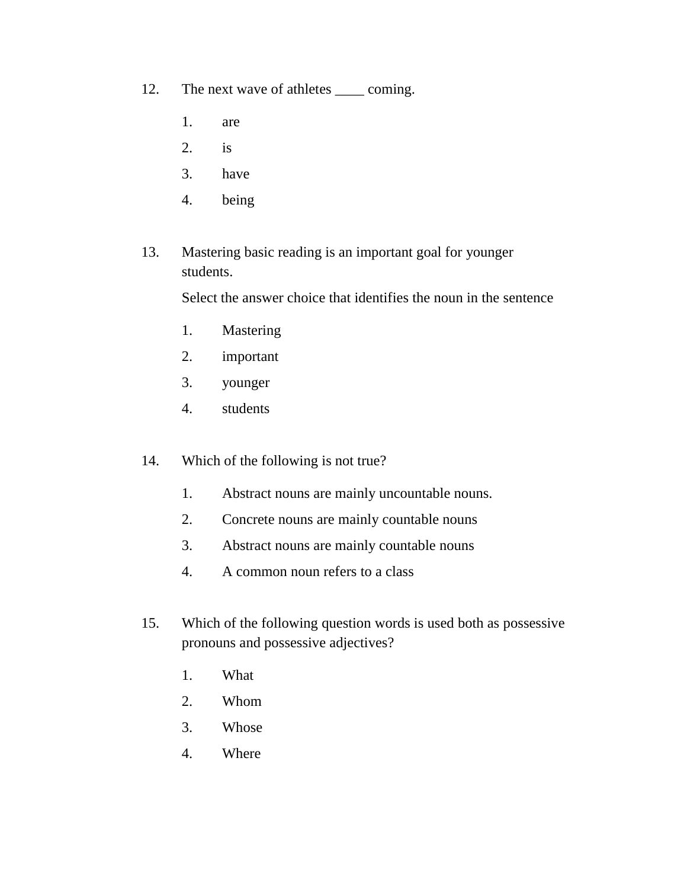12. The next wave of athletes <u>\_\_\_</u> coming.

- 1. are
- 2. is
- 3. have
- 4. being
- 13. Mastering basic reading is an important goal for younger students.

Select the answer choice that identifies the noun in the sentence

- 1. Mastering
- 2. important
- 3. younger
- 4. students
- 14. Which of the following is not true?
	- 1. Abstract nouns are mainly uncountable nouns.
	- 2. Concrete nouns are mainly countable nouns
	- 3. Abstract nouns are mainly countable nouns
	- 4. A common noun refers to a class
- 15. Which of the following question words is used both as possessive pronouns and possessive adjectives?
	- 1. What
	- 2. Whom
	- 3. Whose
	- 4. Where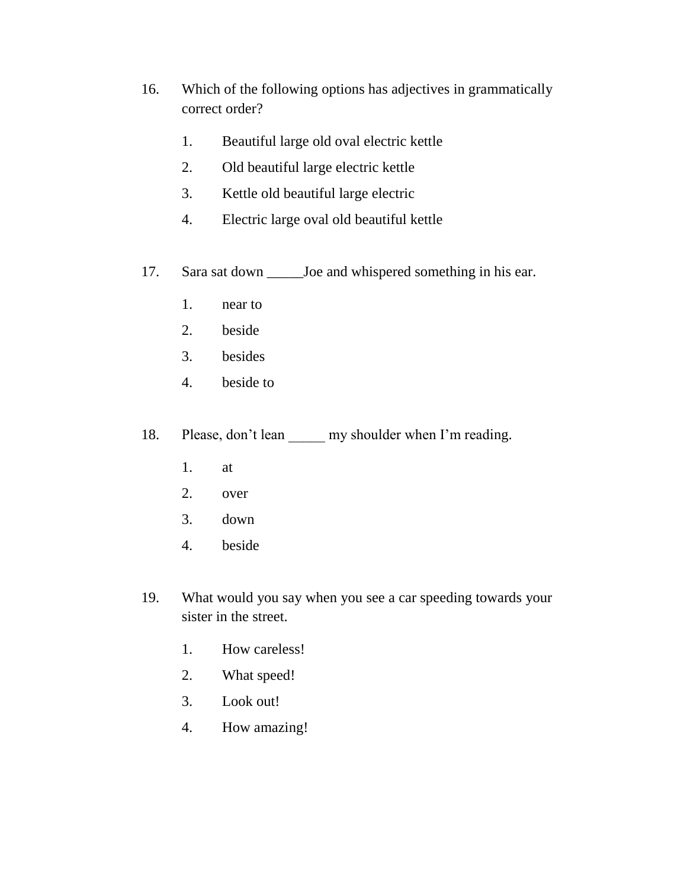- 16. Which of the following options has adjectives in grammatically correct order?
	- 1. Beautiful large old oval electric kettle
	- 2. Old beautiful large electric kettle
	- 3. Kettle old beautiful large electric
	- 4. Electric large oval old beautiful kettle
- 17. Sara sat down \_\_\_\_\_Joe and whispered something in his ear.
	- 1. near to
	- 2. beside
	- 3. besides
	- 4. beside to
- 18. Please, don't lean <u>y</u> my shoulder when I'm reading.
	- 1. at
	- 2. over
	- 3. down
	- 4. beside
- 19. What would you say when you see a car speeding towards your sister in the street.
	- 1. How careless!
	- 2. What speed!
	- 3. Look out!
	- 4. How amazing!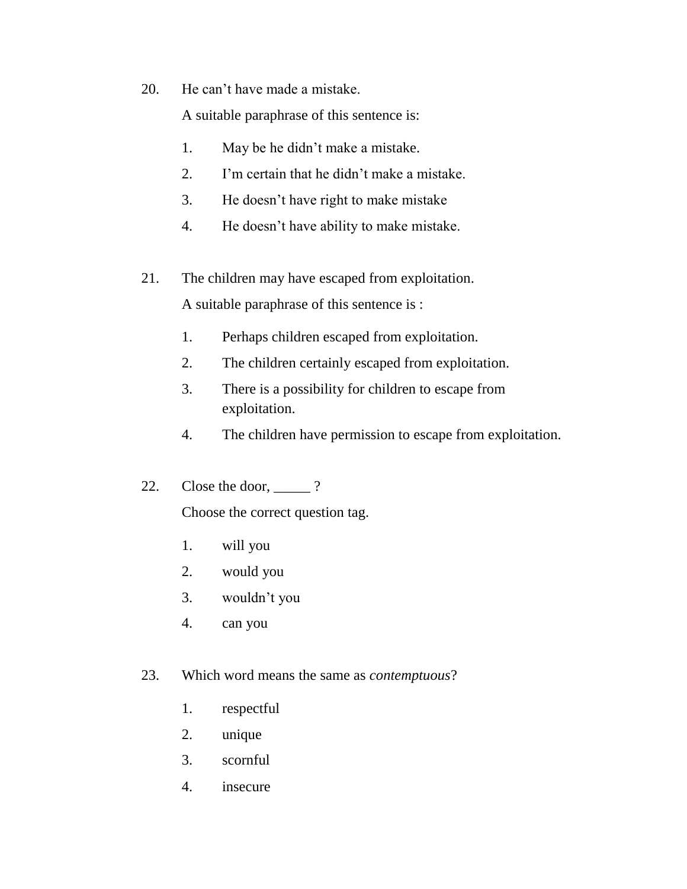20. He can't have made a mistake.

A suitable paraphrase of this sentence is:

- 1. May be he didn't make a mistake.
- 2. I'm certain that he didn't make a mistake.
- 3. He doesn't have right to make mistake
- 4. He doesn't have ability to make mistake.
- 21. The children may have escaped from exploitation.

A suitable paraphrase of this sentence is :

- 1. Perhaps children escaped from exploitation.
- 2. The children certainly escaped from exploitation.
- 3. There is a possibility for children to escape from exploitation.
- 4. The children have permission to escape from exploitation.
- 22. Close the door,  $\frac{?}{?}$

Choose the correct question tag.

- 1. will you
- 2. would you
- 3. wouldn't you
- 4. can you
- 23. Which word means the same as *contemptuous*?
	- 1. respectful
	- 2. unique
	- 3. scornful
	- 4. insecure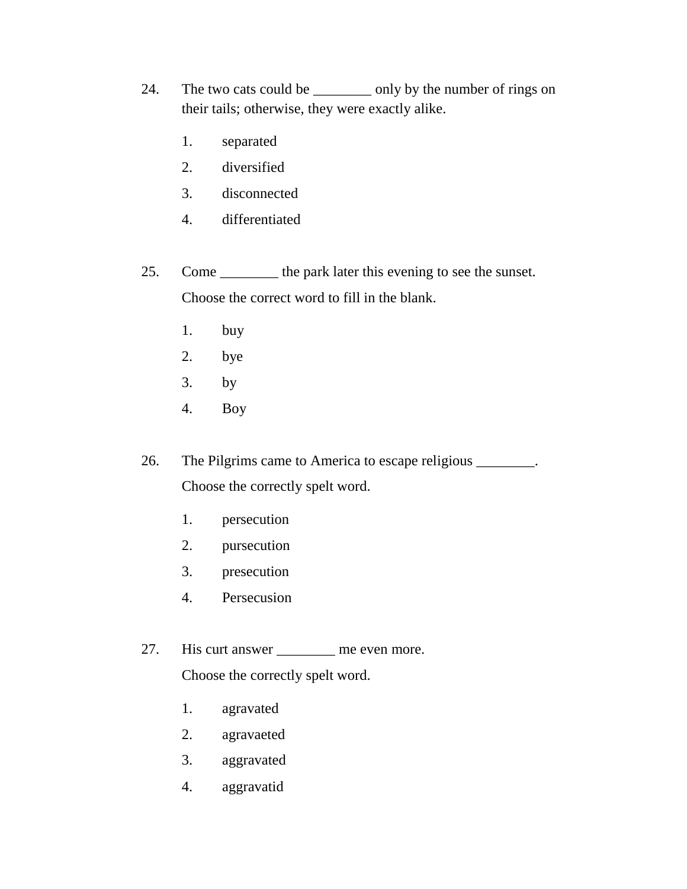- 24. The two cats could be \_\_\_\_\_\_\_\_\_ only by the number of rings on their tails; otherwise, they were exactly alike.
	- 1. separated
	- 2. diversified
	- 3. disconnected
	- 4. differentiated
- 25. Come \_\_\_\_\_\_\_\_ the park later this evening to see the sunset. Choose the correct word to fill in the blank.
	- 1. buy
	- 2. bye
	- 3. by
	- 4. Boy

26. The Pilgrims came to America to escape religious \_\_\_\_\_\_\_. Choose the correctly spelt word.

- 1. persecution
- 2. pursecution
- 3. presecution
- 4. Persecusion
- 27. His curt answer \_\_\_\_\_\_\_\_\_ me even more. Choose the correctly spelt word.
	- 1. agravated
	- 2. agravaeted
	- 3. aggravated
	- 4. aggravatid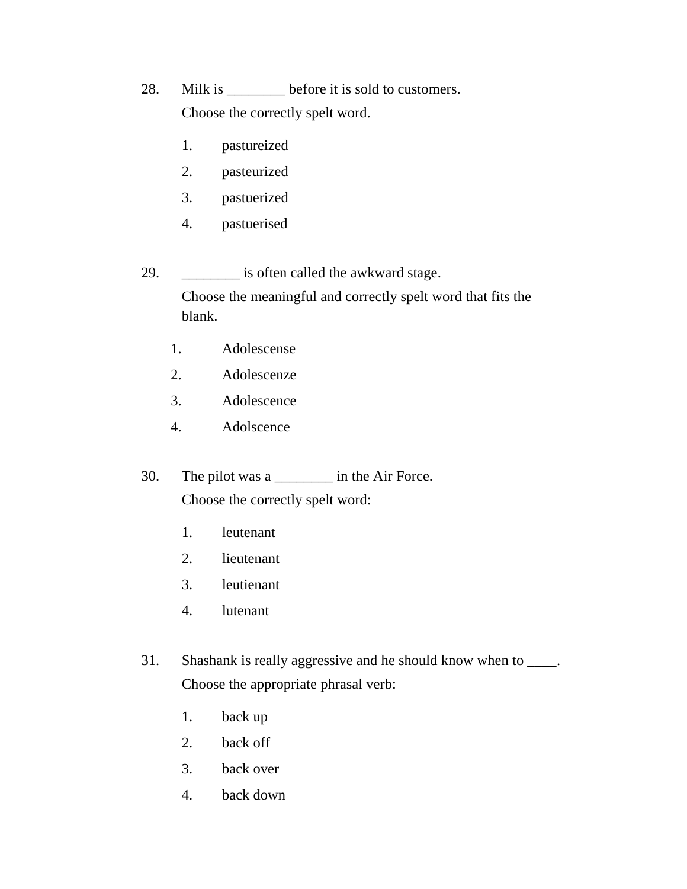28. Milk is \_\_\_\_\_\_\_ before it is sold to customers. Choose the correctly spelt word.

- 1. pastureized
- 2. pasteurized
- 3. pastuerized
- 4. pastuerised

29. \_\_\_\_\_\_\_\_ is often called the awkward stage.

Choose the meaningful and correctly spelt word that fits the blank.

- 1. Adolescense
- 2. Adolescenze
- 3. Adolescence
- 4. Adolscence
- 30. The pilot was a \_\_\_\_\_\_\_\_ in the Air Force. Choose the correctly spelt word:
	- 1. leutenant
	- 2. lieutenant
	- 3. leutienant
	- 4. lutenant
- 31. Shashank is really aggressive and he should know when to \_\_\_\_. Choose the appropriate phrasal verb:
	- 1. back up
	- 2. back off
	- 3. back over
	- 4. back down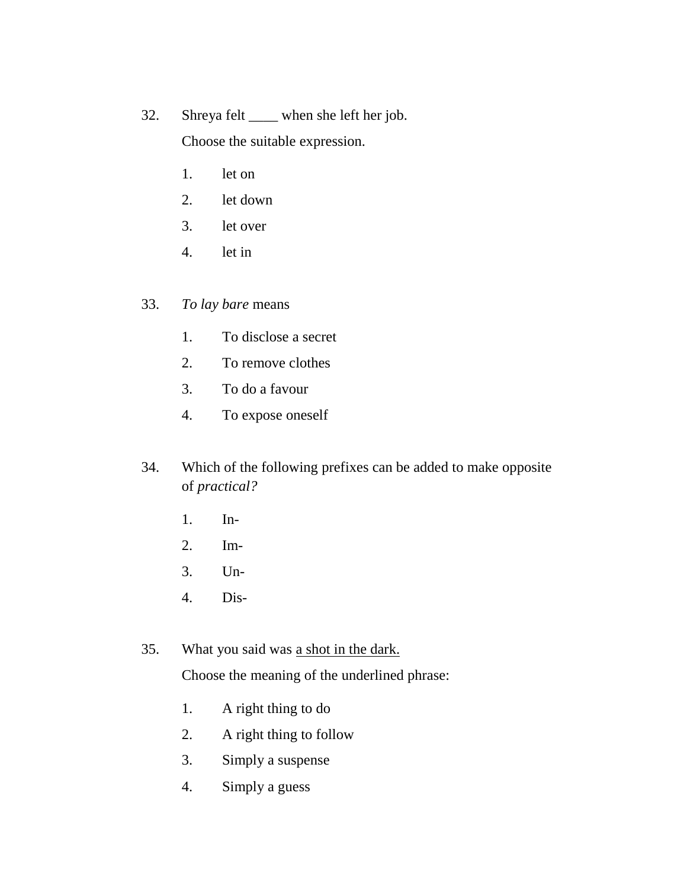32. Shreya felt \_\_\_\_ when she left her job.

Choose the suitable expression.

- 1. let on
- 2. let down
- 3. let over
- 4. let in

33. *To lay bare* means

- 1. To disclose a secret
- 2. To remove clothes
- 3. To do a favour
- 4. To expose oneself
- 34. Which of the following prefixes can be added to make opposite of *practical?*
	- 1. In-
	- 2. Im-
	- 3. Un-
	- 4. Dis-
- 35. What you said was a shot in the dark.

Choose the meaning of the underlined phrase:

- 1. A right thing to do
- 2. A right thing to follow
- 3. Simply a suspense
- 4. Simply a guess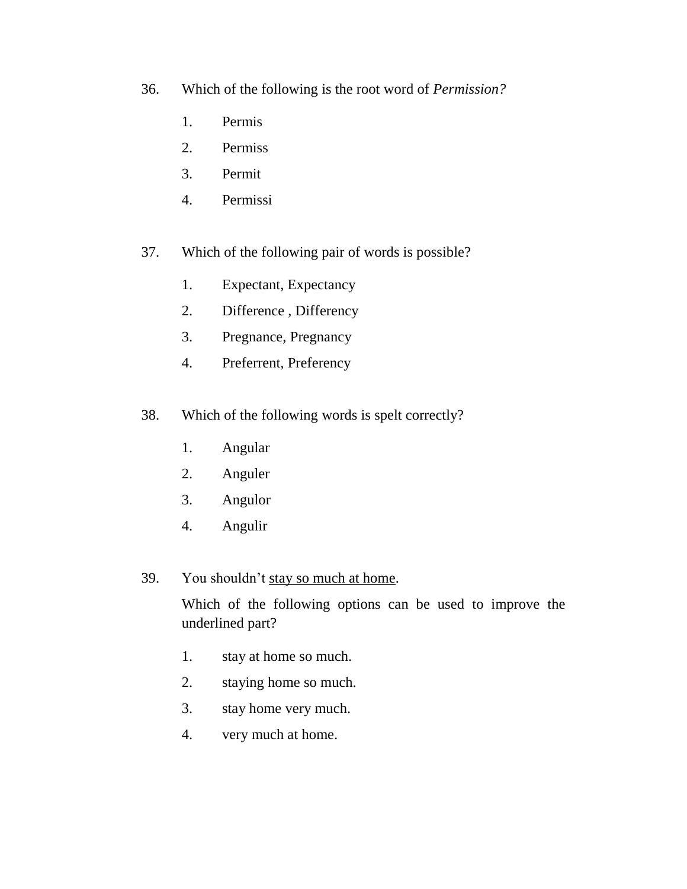- 36. Which of the following is the root word of *Permission?*
	- 1. Permis
	- 2. Permiss
	- 3. Permit
	- 4. Permissi
- 37. Which of the following pair of words is possible?
	- 1. Expectant, Expectancy
	- 2. Difference , Differency
	- 3. Pregnance, Pregnancy
	- 4. Preferrent, Preferency
- 38. Which of the following words is spelt correctly?
	- 1. Angular
	- 2. Anguler
	- 3. Angulor
	- 4. Angulir
- 39. You shouldn't stay so much at home.

Which of the following options can be used to improve the underlined part?

- 1. stay at home so much.
- 2. staying home so much.
- 3. stay home very much.
- 4. very much at home.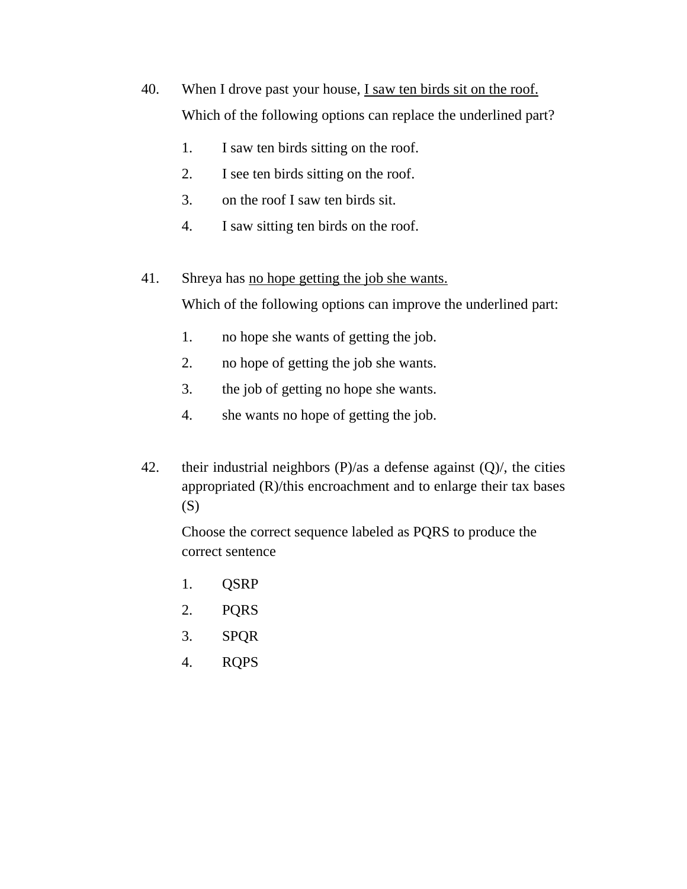- 40. When I drove past your house, I saw ten birds sit on the roof. Which of the following options can replace the underlined part?
	- 1. I saw ten birds sitting on the roof.
	- 2. I see ten birds sitting on the roof.
	- 3. on the roof I saw ten birds sit.
	- 4. I saw sitting ten birds on the roof.
- 41. Shreya has no hope getting the job she wants.

Which of the following options can improve the underlined part:

- 1. no hope she wants of getting the job.
- 2. no hope of getting the job she wants.
- 3. the job of getting no hope she wants.
- 4. she wants no hope of getting the job.
- 42. their industrial neighbors  $(P)/as$  a defense against  $(Q)/s$ , the cities appropriated (R)/this encroachment and to enlarge their tax bases (S)

Choose the correct sequence labeled as PQRS to produce the correct sentence

- 1. QSRP
- 2. PQRS
- 3. SPQR
- 4. RQPS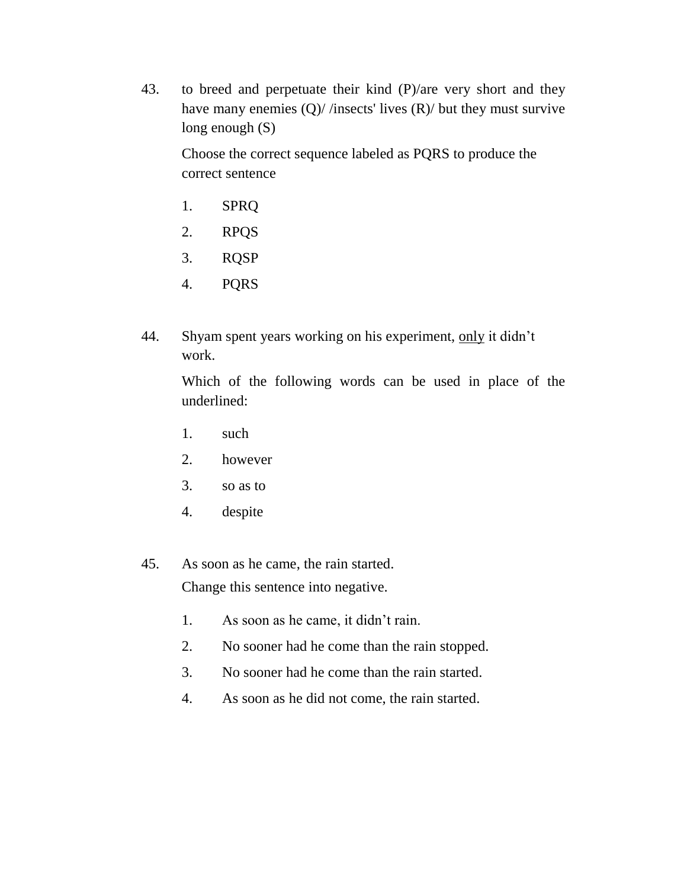43. to breed and perpetuate their kind (P)/are very short and they have many enemies (Q)/ /insects' lives (R)/ but they must survive long enough (S)

Choose the correct sequence labeled as PQRS to produce the correct sentence

- 1. SPRQ
- 2. RPQS
- 3. RQSP
- 4. PQRS
- 44. Shyam spent years working on his experiment, only it didn't work.

Which of the following words can be used in place of the underlined:

- 1. such
- 2. however
- 3. so as to
- 4. despite
- 45. As soon as he came, the rain started. Change this sentence into negative.
	- 1. As soon as he came, it didn't rain.
	- 2. No sooner had he come than the rain stopped.
	- 3. No sooner had he come than the rain started.
	- 4. As soon as he did not come, the rain started.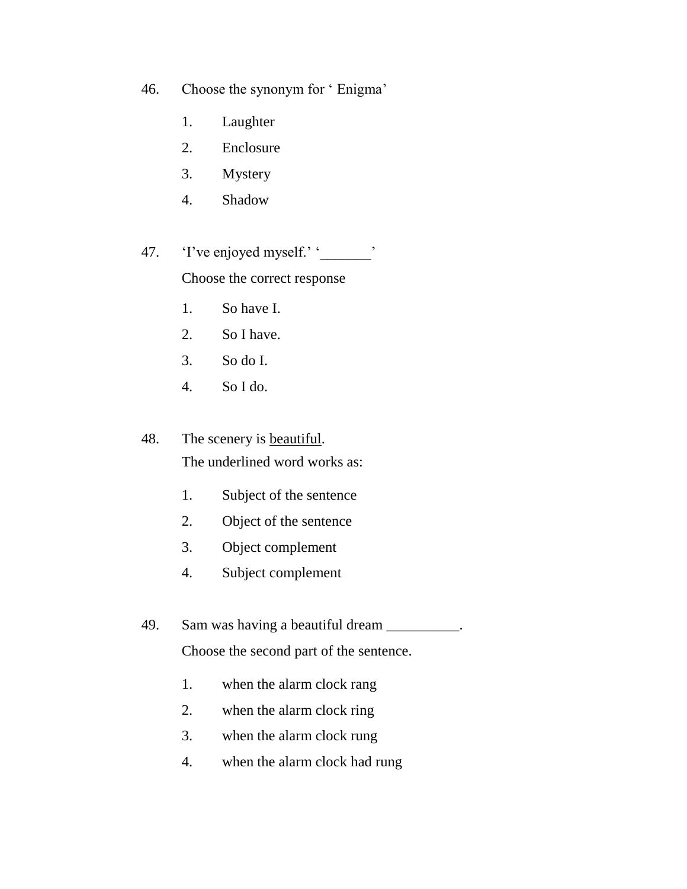46. Choose the synonym for ' Enigma'

- 1. Laughter
- 2. Enclosure
- 3. Mystery
- 4. Shadow

47. T've enjoyed myself.' '

Choose the correct response

- 1. So have I.
- 2. So I have.
- 3. So do I.
- 4. So I do.

48. The scenery is **beautiful**.

The underlined word works as:

- 1. Subject of the sentence
- 2. Object of the sentence
- 3. Object complement
- 4. Subject complement
- 49. Sam was having a beautiful dream \_\_\_\_\_\_\_\_\_.

Choose the second part of the sentence.

- 1. when the alarm clock rang
- 2. when the alarm clock ring
- 3. when the alarm clock rung
- 4. when the alarm clock had rung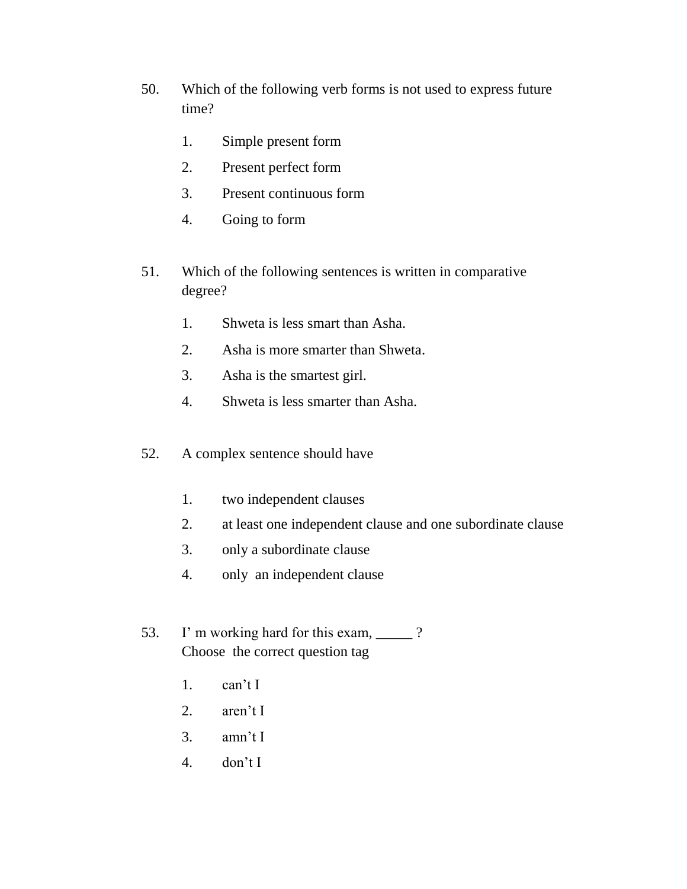- 50. Which of the following verb forms is not used to express future time?
	- 1. Simple present form
	- 2. Present perfect form
	- 3. Present continuous form
	- 4. Going to form
- 51. Which of the following sentences is written in comparative degree?
	- 1. Shweta is less smart than Asha.
	- 2. Asha is more smarter than Shweta.
	- 3. Asha is the smartest girl.
	- 4. Shweta is less smarter than Asha.
- 52. A complex sentence should have
	- 1. two independent clauses
	- 2. at least one independent clause and one subordinate clause
	- 3. only a subordinate clause
	- 4. only an independent clause
- 53. I'm working hard for this exam, \_\_\_\_\_? Choose the correct question tag
	- 1. can't I
	- 2. aren't I
	- 3. amn't I
	- 4. don't I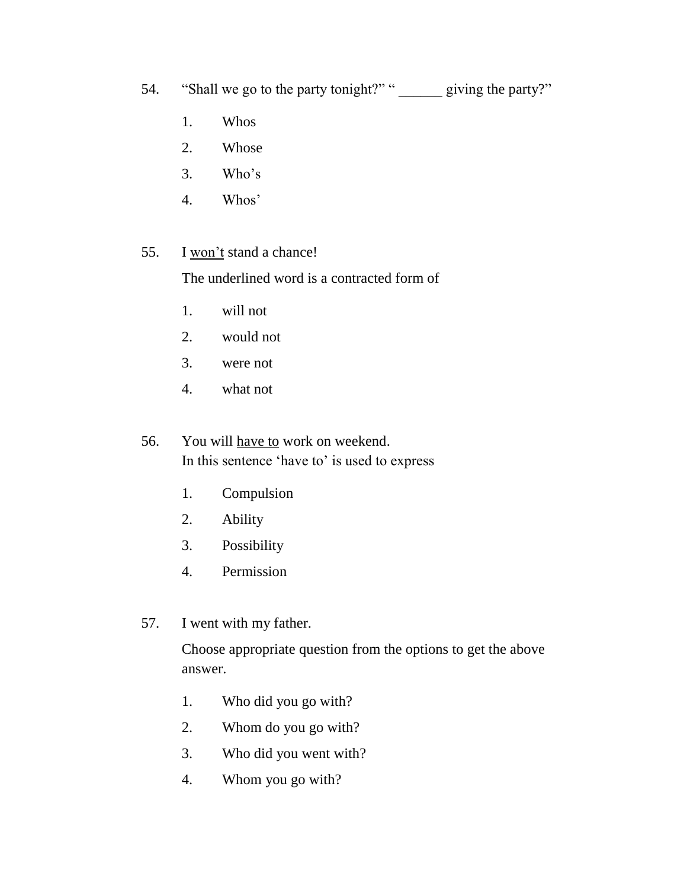54. "Shall we go to the party tonight?" "
<u>\_\_\_\_\_\_</u> giving the party?"

- 1. Whos
- 2. Whose
- 3. Who's
- 4. Whos'
- 55. I won't stand a chance!

The underlined word is a contracted form of

- 1. will not
- 2. would not
- 3. were not
- 4. what not
- 56. You will have to work on weekend. In this sentence 'have to' is used to express
	- 1. Compulsion
	- 2. Ability
	- 3. Possibility
	- 4. Permission
- 57. I went with my father.

Choose appropriate question from the options to get the above answer.

- 1. Who did you go with?
- 2. Whom do you go with?
- 3. Who did you went with?
- 4. Whom you go with?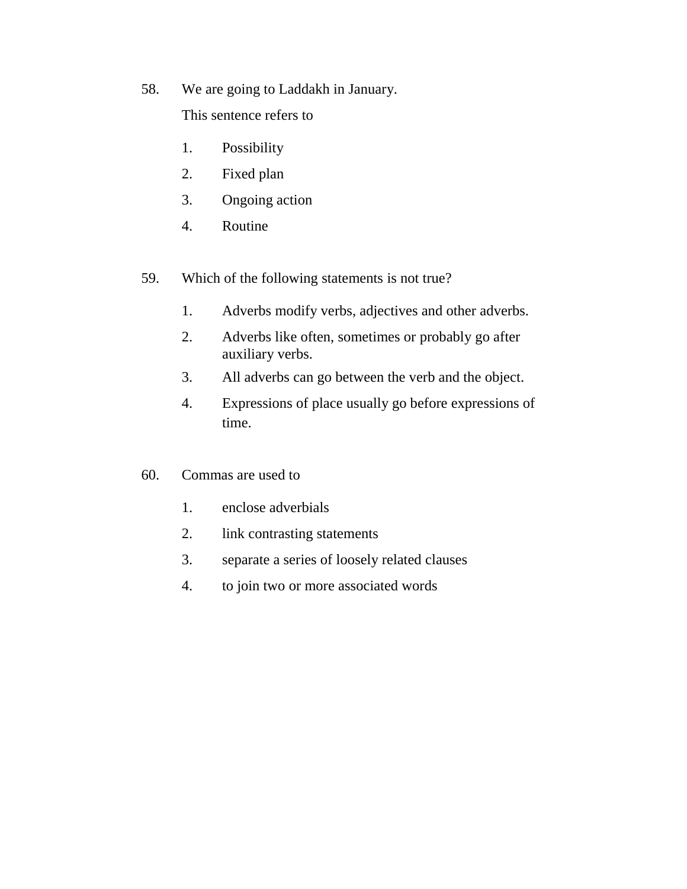58. We are going to Laddakh in January.

This sentence refers to

- 1. Possibility
- 2. Fixed plan
- 3. Ongoing action
- 4. Routine
- 59. Which of the following statements is not true?
	- 1. Adverbs modify verbs, adjectives and other adverbs.
	- 2. Adverbs like often, sometimes or probably go after auxiliary verbs.
	- 3. All adverbs can go between the verb and the object.
	- 4. Expressions of place usually go before expressions of time.
- 60. Commas are used to
	- 1. enclose adverbials
	- 2. link contrasting statements
	- 3. separate a series of loosely related clauses
	- 4. to join two or more associated words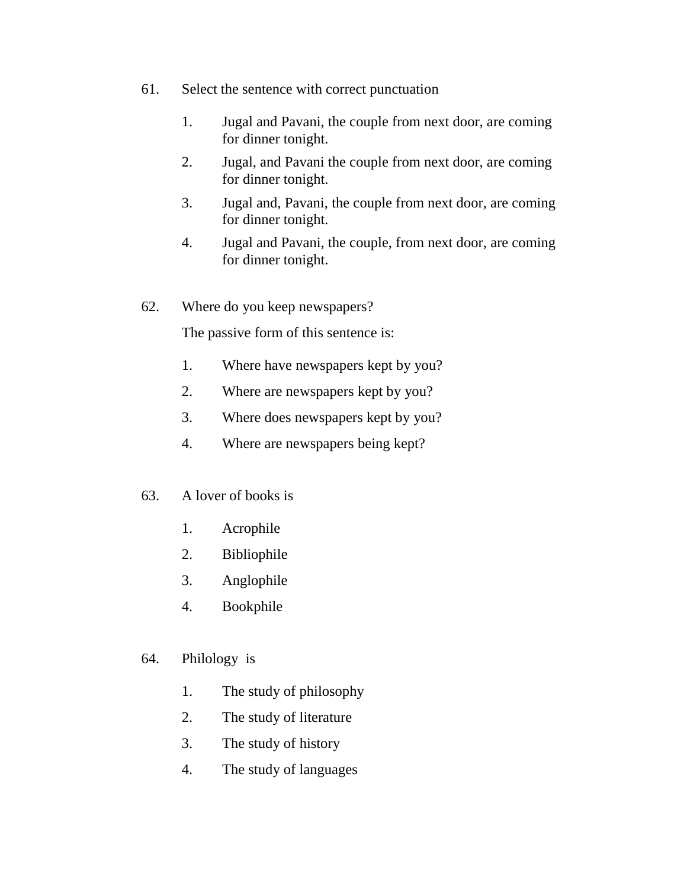- 61. Select the sentence with correct punctuation
	- 1. Jugal and Pavani, the couple from next door, are coming for dinner tonight.
	- 2. Jugal, and Pavani the couple from next door, are coming for dinner tonight.
	- 3. Jugal and, Pavani, the couple from next door, are coming for dinner tonight.
	- 4. Jugal and Pavani, the couple, from next door, are coming for dinner tonight.
- 62. Where do you keep newspapers?

The passive form of this sentence is:

- 1. Where have newspapers kept by you?
- 2. Where are newspapers kept by you?
- 3. Where does newspapers kept by you?
- 4. Where are newspapers being kept?
- 63. A lover of books is
	- 1. Acrophile
	- 2. Bibliophile
	- 3. Anglophile
	- 4. Bookphile
- 64. Philology is
	- 1. The study of philosophy
	- 2. The study of literature
	- 3. The study of history
	- 4. The study of languages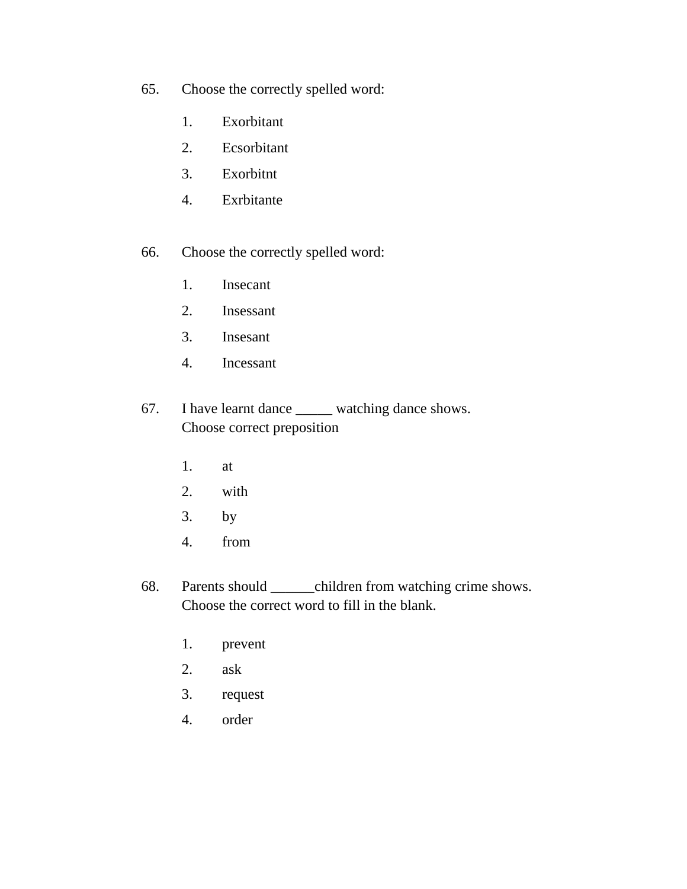- 65. Choose the correctly spelled word:
	- 1. Exorbitant
	- 2. Ecsorbitant
	- 3. Exorbitnt
	- 4. Exrbitante
- 66. Choose the correctly spelled word:
	- 1. Insecant
	- 2. Insessant
	- 3. Insesant
	- 4. Incessant
- 67. I have learnt dance \_\_\_\_\_ watching dance shows. Choose correct preposition
	- 1. at
	- 2. with
	- 3. by
	- 4. from
- 68. Parents should \_\_\_\_\_\_children from watching crime shows. Choose the correct word to fill in the blank.
	- 1. prevent
	- 2. ask
	- 3. request
	- 4. order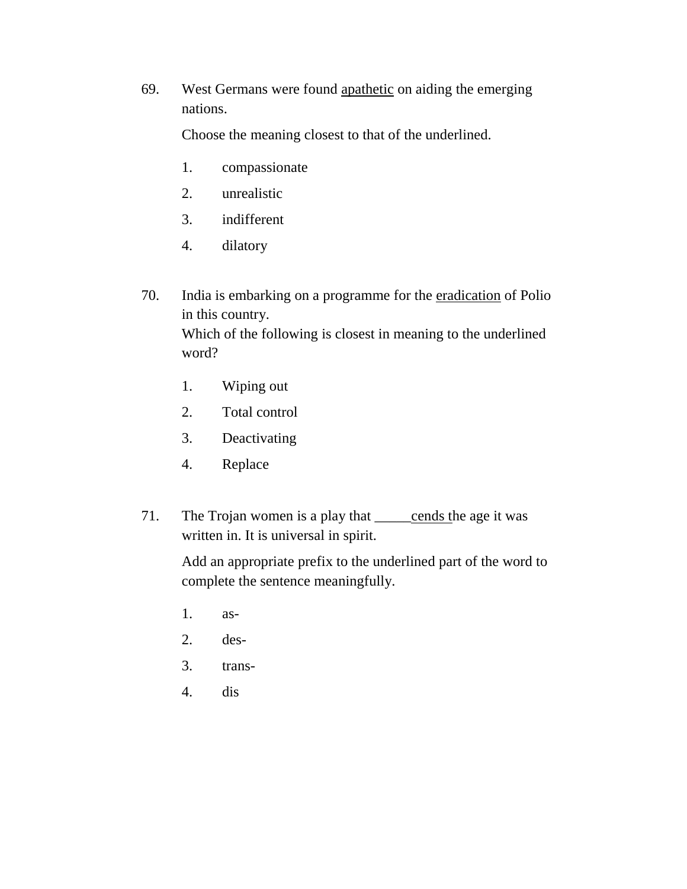69. West Germans were found apathetic on aiding the emerging nations.

Choose the meaning closest to that of the underlined.

- 1. compassionate
- 2. unrealistic
- 3. indifferent
- 4. dilatory
- 70. India is embarking on a programme for the eradication of Polio in this country. Which of the following is closest in meaning to the underlined word?
	- 1. Wiping out
	- 2. Total control
	- 3. Deactivating
	- 4. Replace
- 71. The Trojan women is a play that <u>cends</u> the age it was written in. It is universal in spirit.

Add an appropriate prefix to the underlined part of the word to complete the sentence meaningfully.

- 1. as-
- 2. des-
- 3. trans-
- 4. dis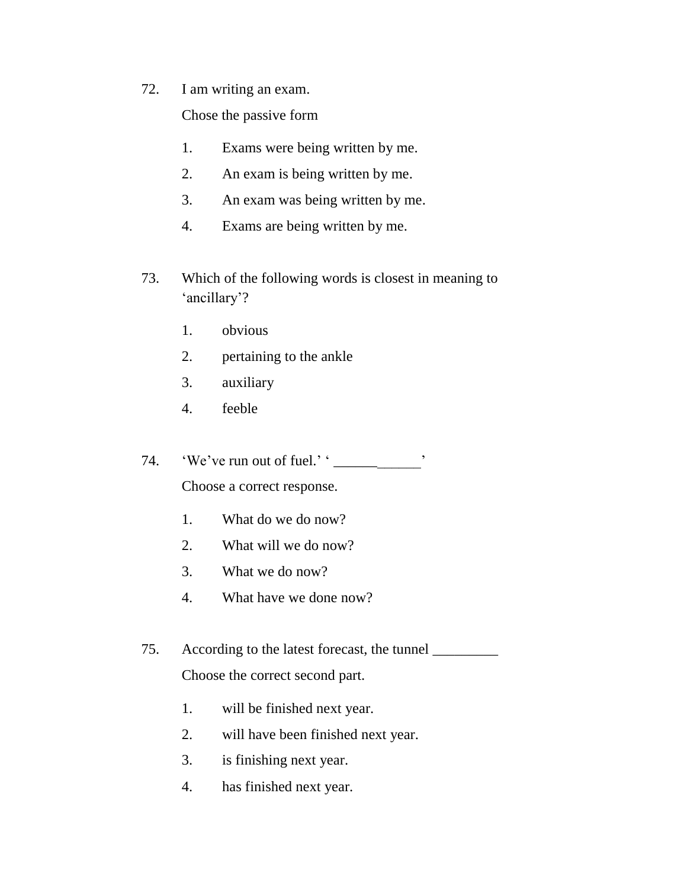72. I am writing an exam.

Chose the passive form

- 1. Exams were being written by me.
- 2. An exam is being written by me.
- 3. An exam was being written by me.
- 4. Exams are being written by me.
- 73. Which of the following words is closest in meaning to 'ancillary'?
	- 1. obvious
	- 2. pertaining to the ankle
	- 3. auxiliary
	- 4. feeble
- 74. 'We've run out of fuel.' ' \_\_\_\_\_\_\_\_\_\_\_\_\_'

Choose a correct response.

- 1. What do we do now?
- 2. What will we do now?
- 3. What we do now?
- 4. What have we done now?
- 75. According to the latest forecast, the tunnel \_\_\_\_\_\_\_\_\_ Choose the correct second part.
	- 1. will be finished next year.
	- 2. will have been finished next year.
	- 3. is finishing next year.
	- 4. has finished next year.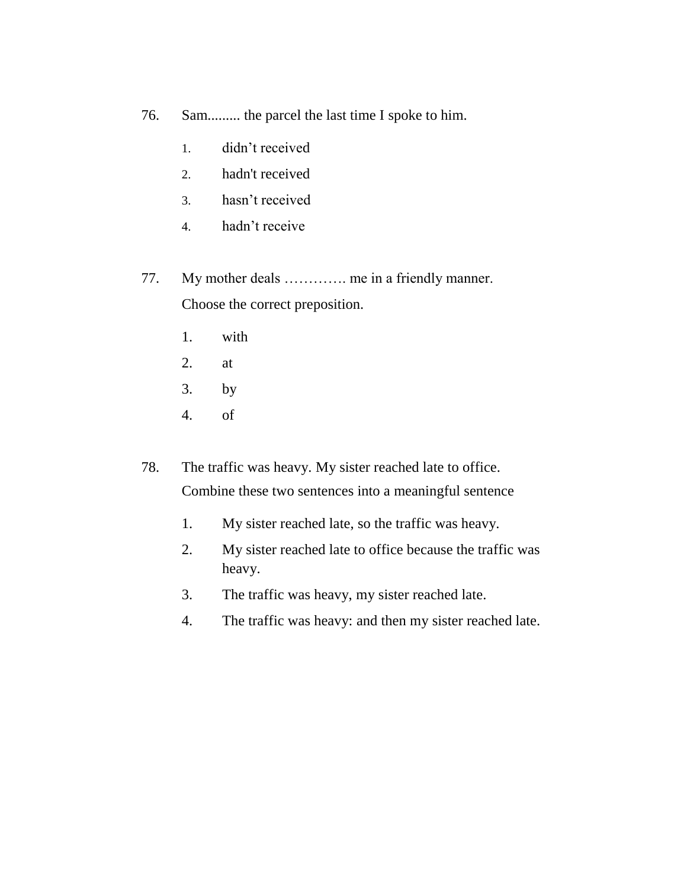- 76. Sam......... the parcel the last time I spoke to him.
	- 1. didn't received
	- 2. hadn't received
	- 3. hasn't received
	- 4. hadn't receive
- 77. My mother deals …………. me in a friendly manner.

Choose the correct preposition.

- 1. with
- 2. at
- 3. by
- 4. of
- 78. The traffic was heavy. My sister reached late to office. Combine these two sentences into a meaningful sentence
	- 1. My sister reached late, so the traffic was heavy.
	- 2. My sister reached late to office because the traffic was heavy.
	- 3. The traffic was heavy, my sister reached late.
	- 4. The traffic was heavy: and then my sister reached late.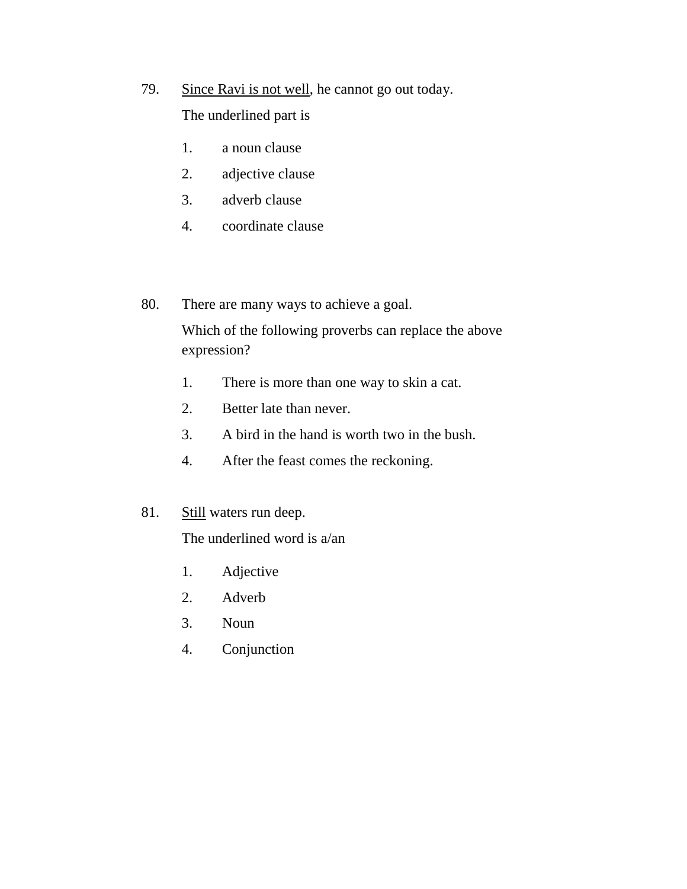- 79. Since Ravi is not well, he cannot go out today. The underlined part is
	- 1. a noun clause
	- 2. adjective clause
	- 3. adverb clause
	- 4. coordinate clause
- 80. There are many ways to achieve a goal.

Which of the following proverbs can replace the above expression?

- 1. There is more than one way to skin a cat.
- 2. Better late than never.
- 3. A bird in the hand is worth two in the bush.
- 4. After the feast comes the reckoning.
- 81. Still waters run deep.

The underlined word is a/an

- 1. Adjective
- 2. Adverb
- 3. Noun
- 4. Conjunction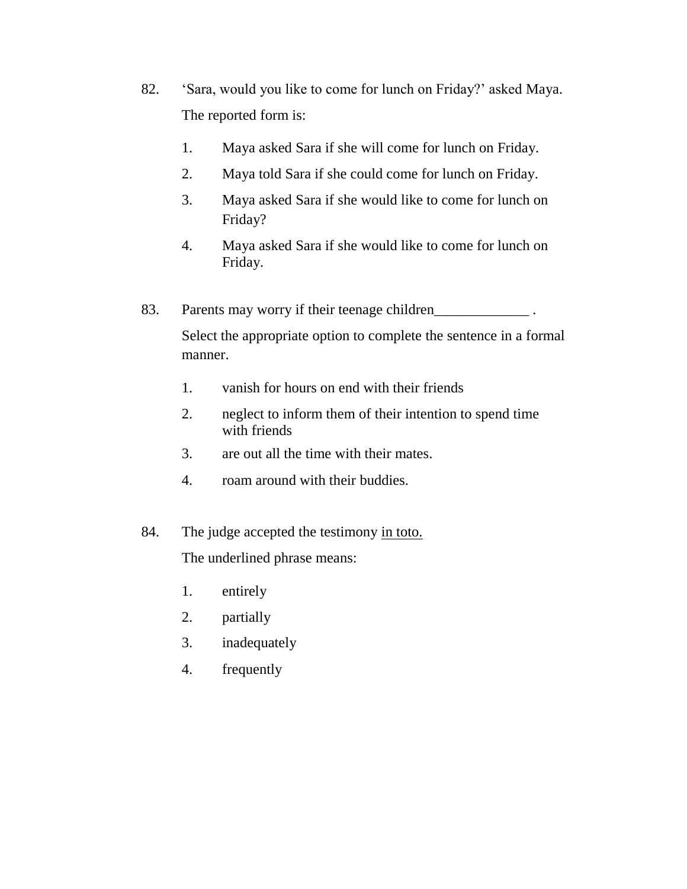- 82. 'Sara, would you like to come for lunch on Friday?' asked Maya. The reported form is:
	- 1. Maya asked Sara if she will come for lunch on Friday.
	- 2. Maya told Sara if she could come for lunch on Friday.
	- 3. Maya asked Sara if she would like to come for lunch on Friday?
	- 4. Maya asked Sara if she would like to come for lunch on Friday.
- 83. Parents may worry if their teenage children

Select the appropriate option to complete the sentence in a formal manner.

- 1. vanish for hours on end with their friends
- 2. neglect to inform them of their intention to spend time with friends
- 3. are out all the time with their mates.
- 4. roam around with their buddies.
- 84. The judge accepted the testimony in toto. The underlined phrase means:
	- 1. entirely
	- 2. partially
	- 3. inadequately
	- 4. frequently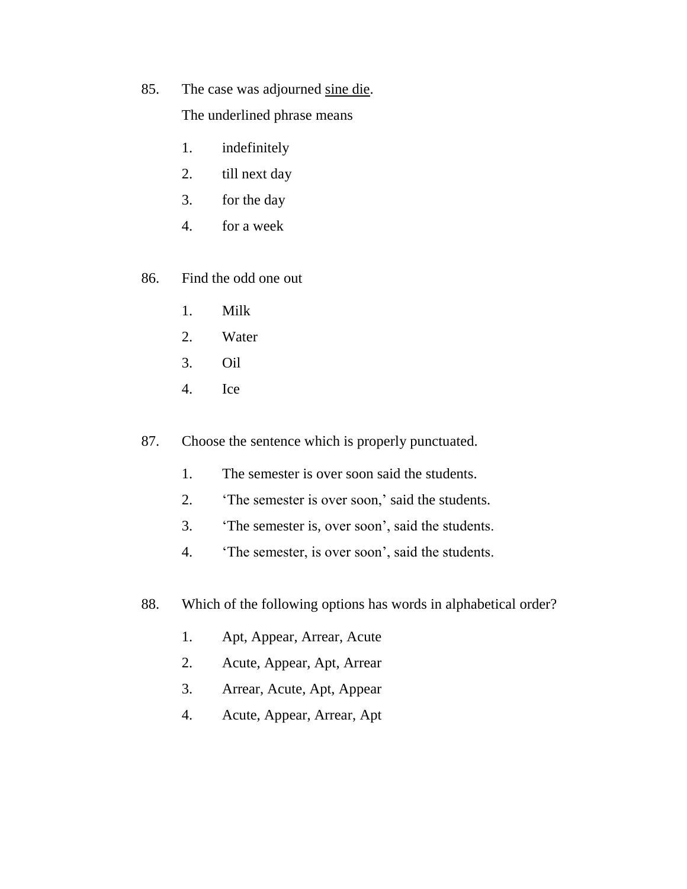85. The case was adjourned sine die.

The underlined phrase means

- 1. indefinitely
- 2. till next day
- 3. for the day
- 4. for a week

86. Find the odd one out

- 1. Milk
- 2. Water
- 3. Oil
- 4. Ice
- 87. Choose the sentence which is properly punctuated.
	- 1. The semester is over soon said the students.
	- 2. 'The semester is over soon,' said the students.
	- 3. 'The semester is, over soon', said the students.
	- 4. 'The semester, is over soon', said the students.
- 88. Which of the following options has words in alphabetical order?
	- 1. Apt, Appear, Arrear, Acute
	- 2. Acute, Appear, Apt, Arrear
	- 3. Arrear, Acute, Apt, Appear
	- 4. Acute, Appear, Arrear, Apt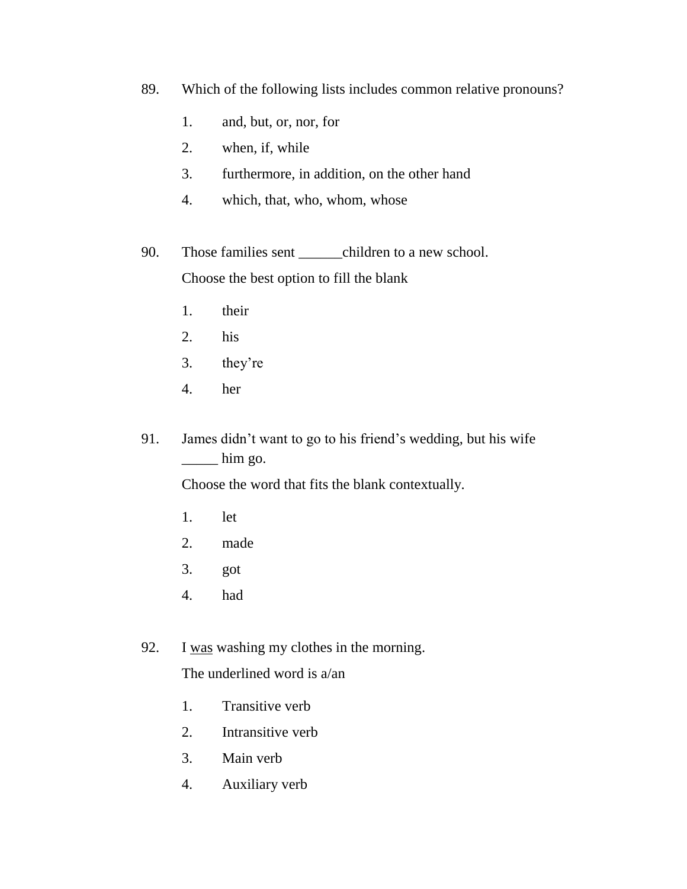- 89. Which of the following lists includes common relative pronouns?
	- 1. and, but, or, nor, for
	- 2. when, if, while
	- 3. furthermore, in addition, on the other hand
	- 4. which, that, who, whom, whose
- 90. Those families sent \_\_\_\_\_\_children to a new school. Choose the best option to fill the blank
	- 1. their
	- 2. his
	- 3. they're
	- 4. her
- 91. James didn't want to go to his friend's wedding, but his wife  $\frac{1}{\sqrt{2}}$  him go.

Choose the word that fits the blank contextually.

- 1. let
- 2. made
- 3. got
- 4. had
- 92. I was washing my clothes in the morning.

The underlined word is a/an

- 1. Transitive verb
- 2. Intransitive verb
- 3. Main verb
- 4. Auxiliary verb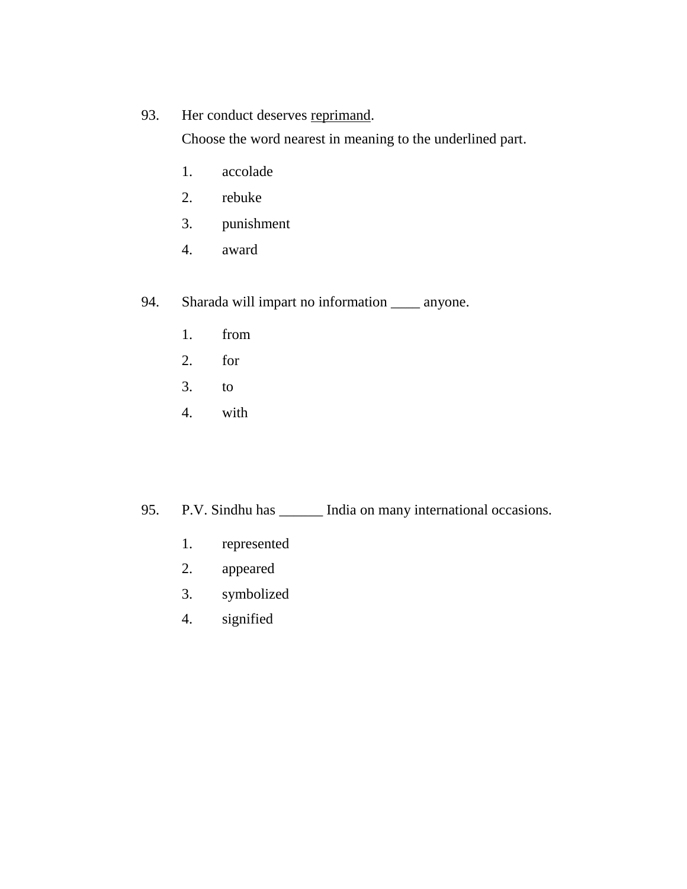## 93. Her conduct deserves reprimand.

Choose the word nearest in meaning to the underlined part.

- 1. accolade
- 2. rebuke
- 3. punishment
- 4. award

94. Sharada will impart no information \_\_\_\_ anyone.

- 1. from
- 2. for
- 3. to
- 4. with

95. P.V. Sindhu has \_\_\_\_\_\_ India on many international occasions.

- 1. represented
- 2. appeared
- 3. symbolized
- 4. signified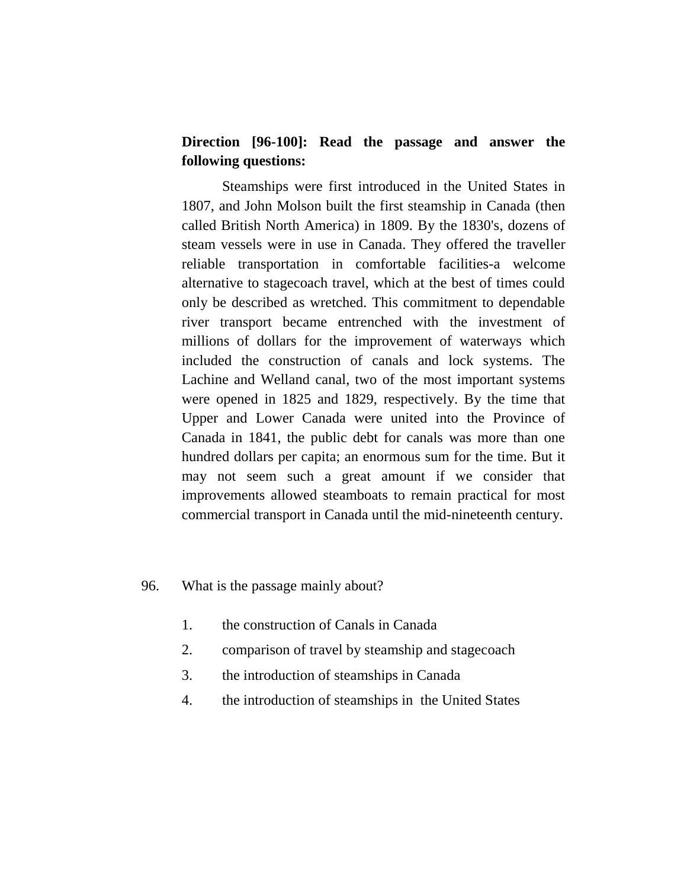## **Direction [96-100]: Read the passage and answer the following questions:**

Steamships were first introduced in the United States in 1807, and John Molson built the first steamship in Canada (then called British North America) in 1809. By the 1830's, dozens of steam vessels were in use in Canada. They offered the traveller reliable transportation in comfortable facilities-a welcome alternative to stagecoach travel, which at the best of times could only be described as wretched. This commitment to dependable river transport became entrenched with the investment of millions of dollars for the improvement of waterways which included the construction of canals and lock systems. The Lachine and Welland canal, two of the most important systems were opened in 1825 and 1829, respectively. By the time that Upper and Lower Canada were united into the Province of Canada in 1841, the public debt for canals was more than one hundred dollars per capita; an enormous sum for the time. But it may not seem such a great amount if we consider that improvements allowed steamboats to remain practical for most commercial transport in Canada until the mid-nineteenth century.

#### 96. What is the passage mainly about?

- 1. the construction of Canals in Canada
- 2. comparison of travel by steamship and stagecoach
- 3. the introduction of steamships in Canada
- 4. the introduction of steamships in the United States